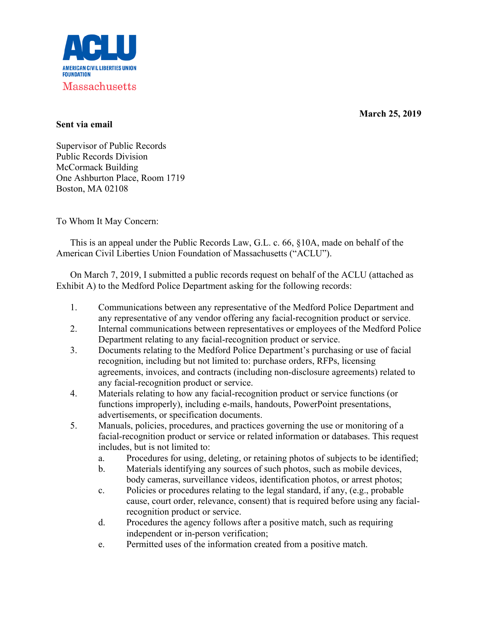

**March 25, 2019** 

## **Sent via email**

Supervisor of Public Records Public Records Division McCormack Building One Ashburton Place, Room 1719 Boston, MA 02108

To Whom It May Concern:

This is an appeal under the Public Records Law, G.L. c. 66, §10A, made on behalf of the American Civil Liberties Union Foundation of Massachusetts ("ACLU").

On March 7, 2019, I submitted a public records request on behalf of the ACLU (attached as Exhibit A) to the Medford Police Department asking for the following records:

- 1. Communications between any representative of the Medford Police Department and any representative of any vendor offering any facial-recognition product or service.
- 2. Internal communications between representatives or employees of the Medford Police Department relating to any facial-recognition product or service.
- 3. Documents relating to the Medford Police Department's purchasing or use of facial recognition, including but not limited to: purchase orders, RFPs, licensing agreements, invoices, and contracts (including non-disclosure agreements) related to any facial-recognition product or service.
- 4. Materials relating to how any facial-recognition product or service functions (or functions improperly), including e-mails, handouts, PowerPoint presentations, advertisements, or specification documents.
- 5. Manuals, policies, procedures, and practices governing the use or monitoring of a facial-recognition product or service or related information or databases. This request includes, but is not limited to:
	- a. Procedures for using, deleting, or retaining photos of subjects to be identified;
	- b. Materials identifying any sources of such photos, such as mobile devices, body cameras, surveillance videos, identification photos, or arrest photos;
	- c. Policies or procedures relating to the legal standard, if any, (e.g., probable cause, court order, relevance, consent) that is required before using any facialrecognition product or service.
	- d. Procedures the agency follows after a positive match, such as requiring independent or in-person verification;
	- e. Permitted uses of the information created from a positive match.